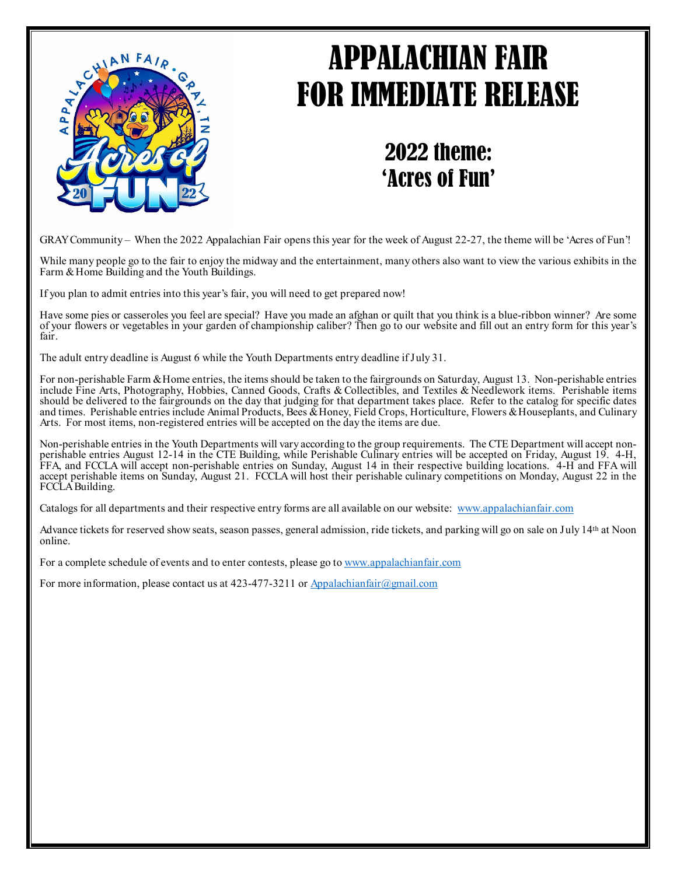

## APPALACHIAN FAIR FOR IMMEDIATE RELEASE

2022 theme: 'Acres of Fun'

GRAY Community – When the 2022 Appalachian Fair opens this year for the week of August 22-27, the theme will be 'Acres of Fun'!

While many people go to the fair to enjoy the midway and the entertainment, many others also want to view the various exhibits in the Farm & Home Building and the Youth Buildings.

If you plan to admit entries into this year's fair, you will need to get prepared now!

Have some pies or casseroles you feel are special? Have you made an afghan or quilt that you think is a blue-ribbon winner? Are some of your flowers or vegetables in your garden of championship caliber? Then go to our website and fill out an entry form for this year's fair.

The adult entry deadline is August 6 while the Youth Departments entry deadline if July 31.

For non-perishable Farm & Home entries, the items should be taken to the fairgrounds on Saturday, August 13. Non-perishable entries include Fine Arts, Photography, Hobbies, Canned Goods, Crafts & Collectibles, and Textiles & Needlework items. Perishable items should be delivered to the fairgrounds on the day that judging for that department takes place. Refer to the catalog for specific dates and times. Perishable entries include Animal Products, Bees & Honey, Field Crops, Horticulture, Flowers & Houseplants, and Culinary Arts. For most items, non-registered entries will be accepted on the day the items are due.

Non-perishable entries in the Youth Departments will vary according to the group requirements. The CTE Department will accept non-<br>perishable entries August 12-14 in the CTE Building, while Perishable Culinary entries will FFA, and FCCLA will accept non-perishable entries on Sunday, August 14 in their respective building locations. 4-H and FFA will accept perishable items on Sunday, August 21. FCCLA will host their perishable culinary competitions on Monday, August 22 in the FCCLA Building.

Catalogs for all departments and their respective entry forms are all available on our website: [www.appalachianfair.com](http://www.appalachianfair.com/)

Advance tickets for reserved show seats, season passes, general admission, ride tickets, and parking will go on sale on July 14th at Noon online.

For a complete schedule of events and to enter contests, please go to [www.appalachianfair.com](http://www.appalachianfair.com/)

For more information, please contact us at 423-477-3211 or [Appalachianfair@gmail.com](mailto:Appalachianfair@gmail.com)